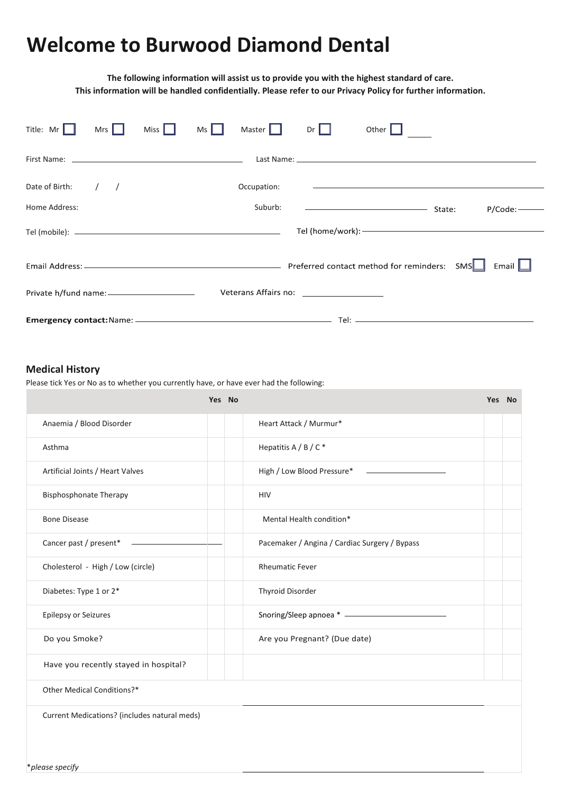## **Welcome to Burwood Diamond Dental**

**The following information will assist us to provide you with the highest standard of care. This information will be handled confidentially. Please refer to our Privacy Policy for further information.**

| Title: Mr                                     | Mrs $\ $ | Miss $\ \cdot\ $ | Ms I | Master      | $Dr$ $\parallel$ | Other $\ $                                                                                                                                                                                                                           |        |            |
|-----------------------------------------------|----------|------------------|------|-------------|------------------|--------------------------------------------------------------------------------------------------------------------------------------------------------------------------------------------------------------------------------------|--------|------------|
|                                               |          |                  |      |             |                  |                                                                                                                                                                                                                                      |        |            |
| Date of Birth: $/$ /                          |          |                  |      | Occupation: |                  |                                                                                                                                                                                                                                      |        |            |
| Home Address:                                 |          |                  |      | Suburb:     |                  | <u> Alexandria (Carlos Carlos Carlos Carlos Carlos Carlos Carlos Carlos Carlos Carlos Carlos Carlos Carlos Carlos Carlos Carlos Carlos Carlos Carlos Carlos Carlos Carlos Carlos Carlos Carlos Carlos Carlos Carlos Carlos Carlo</u> | State: | $P/Code:-$ |
|                                               |          |                  |      |             |                  |                                                                                                                                                                                                                                      |        |            |
|                                               |          |                  |      |             |                  |                                                                                                                                                                                                                                      |        | Email $\ $ |
| Private h/fund name: ________________________ |          |                  |      |             |                  |                                                                                                                                                                                                                                      |        |            |
|                                               |          |                  |      |             |                  |                                                                                                                                                                                                                                      |        |            |

## **Medical History**

Please tick Yes or No as to whether you currently have, or have ever had the following:

|                                              | Yes No |                                               | Yes No |  |
|----------------------------------------------|--------|-----------------------------------------------|--------|--|
| Anaemia / Blood Disorder                     |        | Heart Attack / Murmur*                        |        |  |
| Asthma                                       |        | Hepatitis A / B / C *                         |        |  |
| Artificial Joints / Heart Valves             |        | High / Low Blood Pressure*                    |        |  |
| <b>Bisphosphonate Therapy</b>                |        | <b>HIV</b>                                    |        |  |
| <b>Bone Disease</b>                          |        | Mental Health condition*                      |        |  |
| Cancer past / present*                       |        | Pacemaker / Angina / Cardiac Surgery / Bypass |        |  |
| Cholesterol - High / Low (circle)            |        | <b>Rheumatic Fever</b>                        |        |  |
| Diabetes: Type 1 or 2*                       |        | Thyroid Disorder                              |        |  |
| Epilepsy or Seizures                         |        |                                               |        |  |
| Do you Smoke?                                |        | Are you Pregnant? (Due date)                  |        |  |
| Have you recently stayed in hospital?        |        |                                               |        |  |
| Other Medical Conditions?*                   |        |                                               |        |  |
| Current Medications? (includes natural meds) |        |                                               |        |  |
|                                              |        |                                               |        |  |
| *please specify                              |        |                                               |        |  |